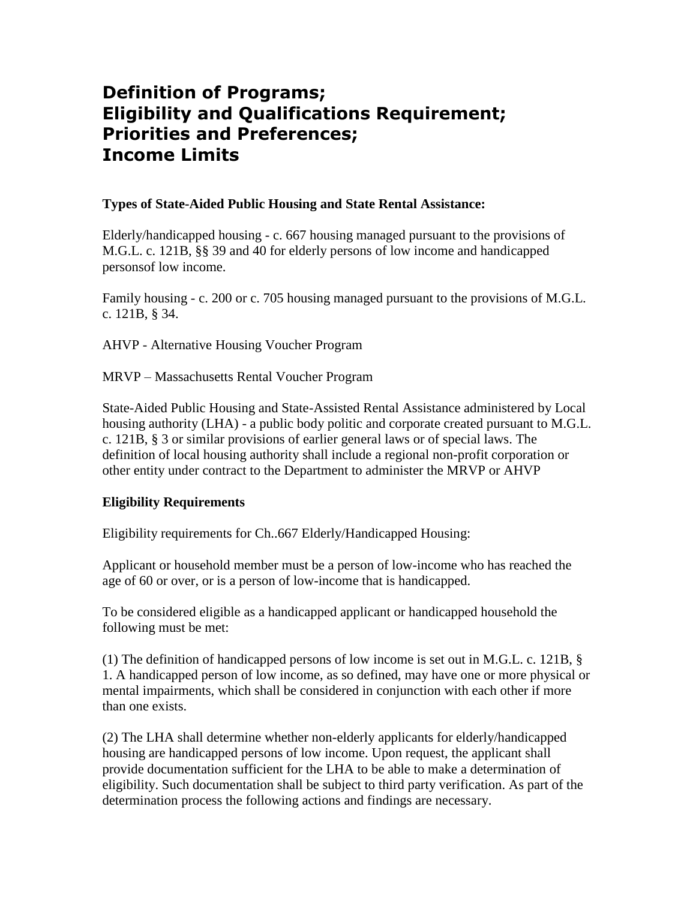# **Definition of Programs; Eligibility and Qualifications Requirement; Priorities and Preferences; Income Limits**

#### **Types of State-Aided Public Housing and State Rental Assistance:**

Elderly/handicapped housing - c. 667 housing managed pursuant to the provisions of M.G.L. c. 121B, §§ 39 and 40 for elderly persons of low income and handicapped personsof low income.

Family housing - c. 200 or c. 705 housing managed pursuant to the provisions of M.G.L. c. 121B, § 34.

AHVP - Alternative Housing Voucher Program

MRVP – Massachusetts Rental Voucher Program

State-Aided Public Housing and State-Assisted Rental Assistance administered by Local housing authority (LHA) - a public body politic and corporate created pursuant to M.G.L. c. 121B, § 3 or similar provisions of earlier general laws or of special laws. The definition of local housing authority shall include a regional non-profit corporation or other entity under contract to the Department to administer the MRVP or AHVP

## **Eligibility Requirements**

Eligibility requirements for Ch..667 Elderly/Handicapped Housing:

Applicant or household member must be a person of low-income who has reached the age of 60 or over, or is a person of low-income that is handicapped.

To be considered eligible as a handicapped applicant or handicapped household the following must be met:

(1) The definition of handicapped persons of low income is set out in M.G.L. c. 121B, § 1. A handicapped person of low income, as so defined, may have one or more physical or mental impairments, which shall be considered in conjunction with each other if more than one exists.

(2) The LHA shall determine whether non-elderly applicants for elderly/handicapped housing are handicapped persons of low income. Upon request, the applicant shall provide documentation sufficient for the LHA to be able to make a determination of eligibility. Such documentation shall be subject to third party verification. As part of the determination process the following actions and findings are necessary.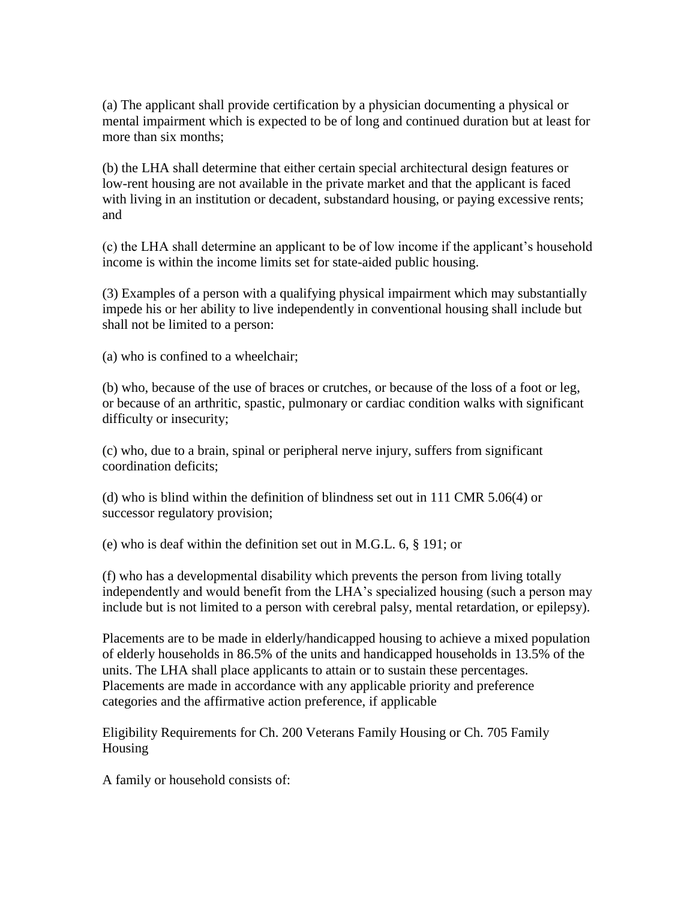(a) The applicant shall provide certification by a physician documenting a physical or mental impairment which is expected to be of long and continued duration but at least for more than six months;

(b) the LHA shall determine that either certain special architectural design features or low-rent housing are not available in the private market and that the applicant is faced with living in an institution or decadent, substandard housing, or paying excessive rents; and

(c) the LHA shall determine an applicant to be of low income if the applicant's household income is within the income limits set for state-aided public housing.

(3) Examples of a person with a qualifying physical impairment which may substantially impede his or her ability to live independently in conventional housing shall include but shall not be limited to a person:

(a) who is confined to a wheelchair;

(b) who, because of the use of braces or crutches, or because of the loss of a foot or leg, or because of an arthritic, spastic, pulmonary or cardiac condition walks with significant difficulty or insecurity;

(c) who, due to a brain, spinal or peripheral nerve injury, suffers from significant coordination deficits;

(d) who is blind within the definition of blindness set out in 111 CMR 5.06(4) or successor regulatory provision;

(e) who is deaf within the definition set out in M.G.L. 6, § 191; or

(f) who has a developmental disability which prevents the person from living totally independently and would benefit from the LHA's specialized housing (such a person may include but is not limited to a person with cerebral palsy, mental retardation, or epilepsy).

Placements are to be made in elderly/handicapped housing to achieve a mixed population of elderly households in 86.5% of the units and handicapped households in 13.5% of the units. The LHA shall place applicants to attain or to sustain these percentages. Placements are made in accordance with any applicable priority and preference categories and the affirmative action preference, if applicable

Eligibility Requirements for Ch. 200 Veterans Family Housing or Ch. 705 Family Housing

A family or household consists of: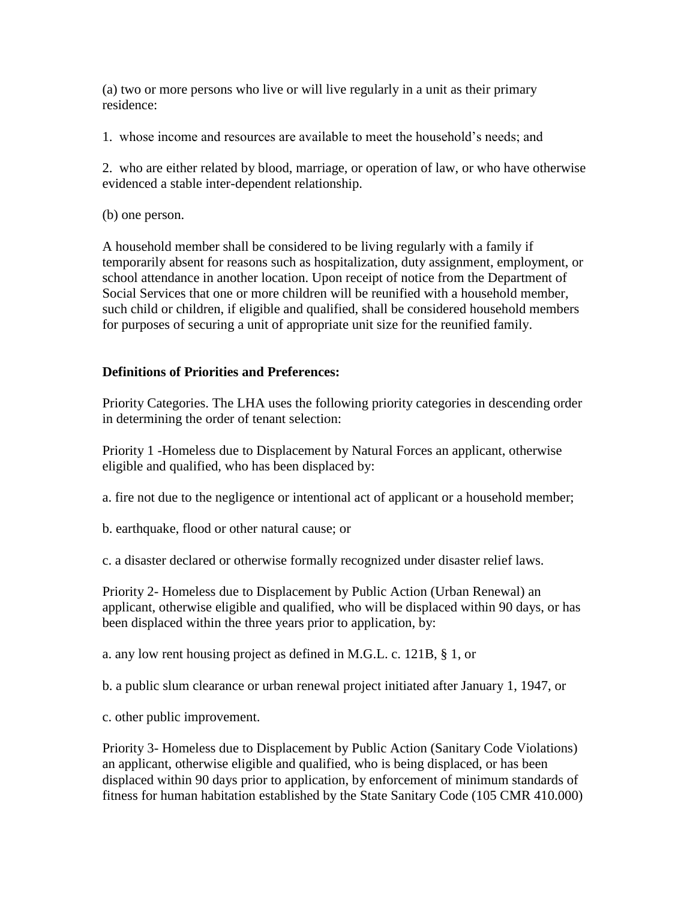(a) two or more persons who live or will live regularly in a unit as their primary residence:

1. whose income and resources are available to meet the household's needs; and

2. who are either related by blood, marriage, or operation of law, or who have otherwise evidenced a stable inter-dependent relationship.

(b) one person.

A household member shall be considered to be living regularly with a family if temporarily absent for reasons such as hospitalization, duty assignment, employment, or school attendance in another location. Upon receipt of notice from the Department of Social Services that one or more children will be reunified with a household member, such child or children, if eligible and qualified, shall be considered household members for purposes of securing a unit of appropriate unit size for the reunified family.

## **Definitions of Priorities and Preferences:**

Priority Categories. The LHA uses the following priority categories in descending order in determining the order of tenant selection:

Priority 1 -Homeless due to Displacement by Natural Forces an applicant, otherwise eligible and qualified, who has been displaced by:

a. fire not due to the negligence or intentional act of applicant or a household member;

b. earthquake, flood or other natural cause; or

c. a disaster declared or otherwise formally recognized under disaster relief laws.

Priority 2- Homeless due to Displacement by Public Action (Urban Renewal) an applicant, otherwise eligible and qualified, who will be displaced within 90 days, or has been displaced within the three years prior to application, by:

a. any low rent housing project as defined in M.G.L. c. 121B, § 1, or

b. a public slum clearance or urban renewal project initiated after January 1, 1947, or

c. other public improvement.

Priority 3- Homeless due to Displacement by Public Action (Sanitary Code Violations) an applicant, otherwise eligible and qualified, who is being displaced, or has been displaced within 90 days prior to application, by enforcement of minimum standards of fitness for human habitation established by the State Sanitary Code (105 CMR 410.000)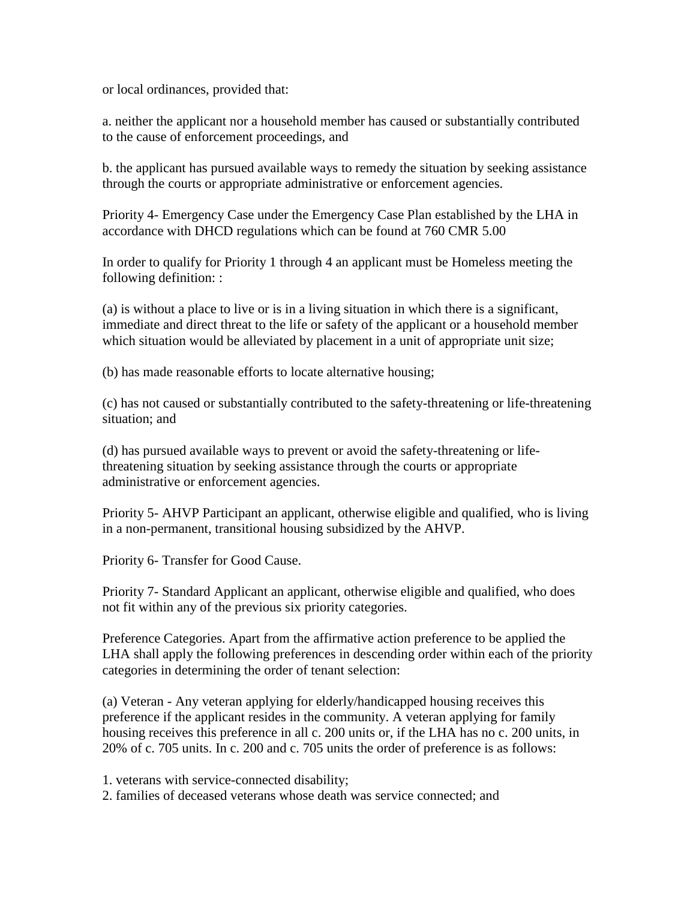or local ordinances, provided that:

a. neither the applicant nor a household member has caused or substantially contributed to the cause of enforcement proceedings, and

b. the applicant has pursued available ways to remedy the situation by seeking assistance through the courts or appropriate administrative or enforcement agencies.

Priority 4- Emergency Case under the Emergency Case Plan established by the LHA in accordance with DHCD regulations which can be found at 760 CMR 5.00

In order to qualify for Priority 1 through 4 an applicant must be Homeless meeting the following definition: :

(a) is without a place to live or is in a living situation in which there is a significant, immediate and direct threat to the life or safety of the applicant or a household member which situation would be alleviated by placement in a unit of appropriate unit size;

(b) has made reasonable efforts to locate alternative housing;

(c) has not caused or substantially contributed to the safety-threatening or life-threatening situation; and

(d) has pursued available ways to prevent or avoid the safety-threatening or lifethreatening situation by seeking assistance through the courts or appropriate administrative or enforcement agencies.

Priority 5- AHVP Participant an applicant, otherwise eligible and qualified, who is living in a non-permanent, transitional housing subsidized by the AHVP.

Priority 6- Transfer for Good Cause.

Priority 7- Standard Applicant an applicant, otherwise eligible and qualified, who does not fit within any of the previous six priority categories.

Preference Categories. Apart from the affirmative action preference to be applied the LHA shall apply the following preferences in descending order within each of the priority categories in determining the order of tenant selection:

(a) Veteran - Any veteran applying for elderly/handicapped housing receives this preference if the applicant resides in the community. A veteran applying for family housing receives this preference in all c. 200 units or, if the LHA has no c. 200 units, in 20% of c. 705 units. In c. 200 and c. 705 units the order of preference is as follows:

1. veterans with service-connected disability;

2. families of deceased veterans whose death was service connected; and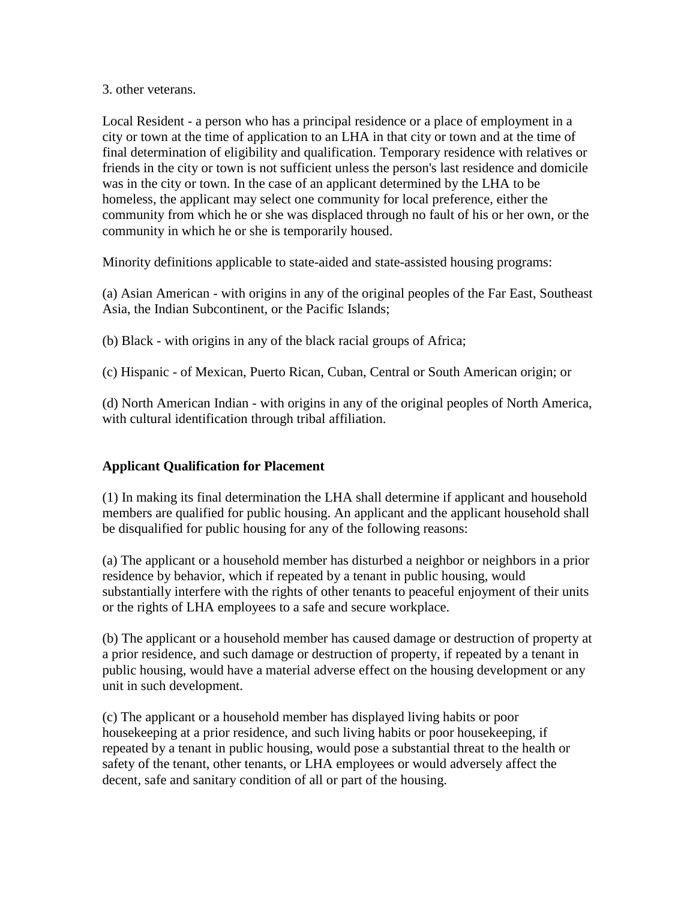#### 3. other veterans.

Local Resident - a person who has a principal residence or a place of employment in a city or town at the time of application to an LHA in that city or town and at the time of final determination of eligibility and qualification. Temporary residence with relatives or friends in the city or town is not sufficient unless the person's last residence and domicile was in the city or town. In the case of an applicant determined by the LHA to be homeless, the applicant may select one community for local preference, either the community from which he or she was displaced through no fault of his or her own, or the community in which he or she is temporarily housed.

Minority definitions applicable to state-aided and state-assisted housing programs:

(a) Asian American - with origins in any of the original peoples of the Far East, Southeast Asia, the Indian Subcontinent, or the Pacific Islands;

(b) Black - with origins in any of the black racial groups of Africa;

(c) Hispanic - of Mexican, Puerto Rican, Cuban, Central or South American origin; or

(d) North American Indian - with origins in any of the original peoples of North America, with cultural identification through tribal affiliation.

## **Applicant Qualification for Placement**

(1) In making its final determination the LHA shall determine if applicant and household members are qualified for public housing. An applicant and the applicant household shall be disqualified for public housing for any of the following reasons:

(a) The applicant or a household member has disturbed a neighbor or neighbors in a prior residence by behavior, which if repeated by a tenant in public housing, would substantially interfere with the rights of other tenants to peaceful enjoyment of their units or the rights of LHA employees to a safe and secure workplace.

(b) The applicant or a household member has caused damage or destruction of property at a prior residence, and such damage or destruction of property, if repeated by a tenant in public housing, would have a material adverse effect on the housing development or any unit in such development.

(c) The applicant or a household member has displayed living habits or poor housekeeping at a prior residence, and such living habits or poor housekeeping, if repeated by a tenant in public housing, would pose a substantial threat to the health or safety of the tenant, other tenants, or LHA employees or would adversely affect the decent, safe and sanitary condition of all or part of the housing.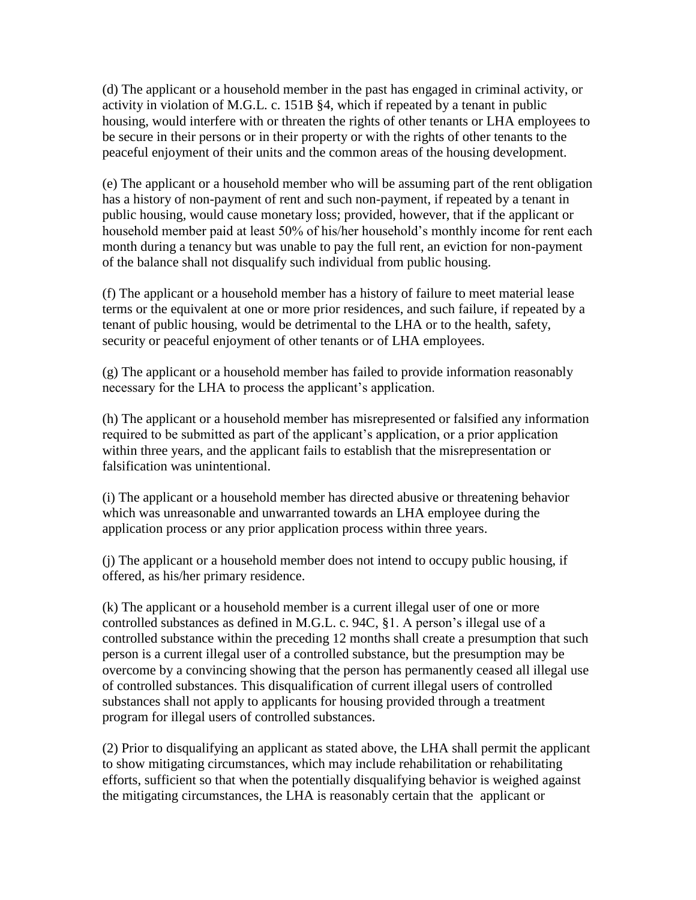(d) The applicant or a household member in the past has engaged in criminal activity, or activity in violation of M.G.L. c. 151B §4, which if repeated by a tenant in public housing, would interfere with or threaten the rights of other tenants or LHA employees to be secure in their persons or in their property or with the rights of other tenants to the peaceful enjoyment of their units and the common areas of the housing development.

(e) The applicant or a household member who will be assuming part of the rent obligation has a history of non-payment of rent and such non-payment, if repeated by a tenant in public housing, would cause monetary loss; provided, however, that if the applicant or household member paid at least 50% of his/her household's monthly income for rent each month during a tenancy but was unable to pay the full rent, an eviction for non-payment of the balance shall not disqualify such individual from public housing.

(f) The applicant or a household member has a history of failure to meet material lease terms or the equivalent at one or more prior residences, and such failure, if repeated by a tenant of public housing, would be detrimental to the LHA or to the health, safety, security or peaceful enjoyment of other tenants or of LHA employees.

(g) The applicant or a household member has failed to provide information reasonably necessary for the LHA to process the applicant's application.

(h) The applicant or a household member has misrepresented or falsified any information required to be submitted as part of the applicant's application, or a prior application within three years, and the applicant fails to establish that the misrepresentation or falsification was unintentional.

(i) The applicant or a household member has directed abusive or threatening behavior which was unreasonable and unwarranted towards an LHA employee during the application process or any prior application process within three years.

(j) The applicant or a household member does not intend to occupy public housing, if offered, as his/her primary residence.

(k) The applicant or a household member is a current illegal user of one or more controlled substances as defined in M.G.L. c. 94C, §1. A person's illegal use of a controlled substance within the preceding 12 months shall create a presumption that such person is a current illegal user of a controlled substance, but the presumption may be overcome by a convincing showing that the person has permanently ceased all illegal use of controlled substances. This disqualification of current illegal users of controlled substances shall not apply to applicants for housing provided through a treatment program for illegal users of controlled substances.

(2) Prior to disqualifying an applicant as stated above, the LHA shall permit the applicant to show mitigating circumstances, which may include rehabilitation or rehabilitating efforts, sufficient so that when the potentially disqualifying behavior is weighed against the mitigating circumstances, the LHA is reasonably certain that the applicant or